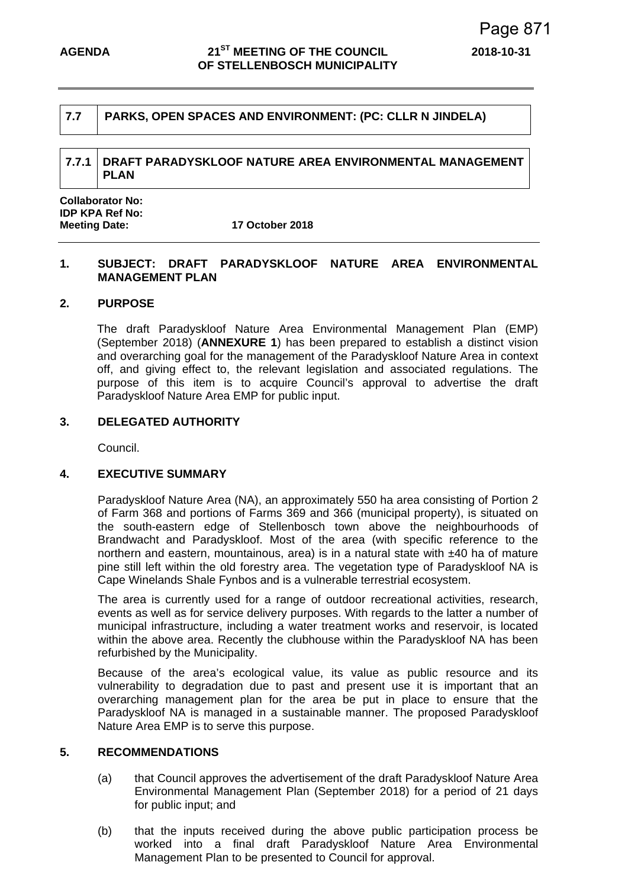# **7.7 PARKS, OPEN SPACES AND ENVIRONMENT: (PC: CLLR N JINDELA)**

# **7.7.1 DRAFT PARADYSKLOOF NATURE AREA ENVIRONMENTAL MANAGEMENT PLAN**

**Collaborator No: IDP KPA Ref No: Meeting Date: 17 October 2018** 

# **1. SUBJECT: DRAFT PARADYSKLOOF NATURE AREA ENVIRONMENTAL MANAGEMENT PLAN**

#### **2. PURPOSE**

The draft Paradyskloof Nature Area Environmental Management Plan (EMP) (September 2018) (**ANNEXURE 1**) has been prepared to establish a distinct vision and overarching goal for the management of the Paradyskloof Nature Area in context off, and giving effect to, the relevant legislation and associated regulations. The purpose of this item is to acquire Council's approval to advertise the draft Paradyskloof Nature Area EMP for public input.

# **3. DELEGATED AUTHORITY**

Council.

#### **4. EXECUTIVE SUMMARY**

Paradyskloof Nature Area (NA), an approximately 550 ha area consisting of Portion 2 of Farm 368 and portions of Farms 369 and 366 (municipal property), is situated on the south-eastern edge of Stellenbosch town above the neighbourhoods of Brandwacht and Paradyskloof. Most of the area (with specific reference to the northern and eastern, mountainous, area) is in a natural state with  $\pm$ 40 ha of mature pine still left within the old forestry area. The vegetation type of Paradyskloof NA is Cape Winelands Shale Fynbos and is a vulnerable terrestrial ecosystem.

The area is currently used for a range of outdoor recreational activities, research, events as well as for service delivery purposes. With regards to the latter a number of municipal infrastructure, including a water treatment works and reservoir, is located within the above area. Recently the clubhouse within the Paradyskloof NA has been refurbished by the Municipality.

Because of the area's ecological value, its value as public resource and its vulnerability to degradation due to past and present use it is important that an overarching management plan for the area be put in place to ensure that the Paradyskloof NA is managed in a sustainable manner. The proposed Paradyskloof Nature Area EMP is to serve this purpose.

# **5. RECOMMENDATIONS**

- (a) that Council approves the advertisement of the draft Paradyskloof Nature Area Environmental Management Plan (September 2018) for a period of 21 days for public input; and
- (b) that the inputs received during the above public participation process be worked into a final draft Paradyskloof Nature Area Environmental Management Plan to be presented to Council for approval.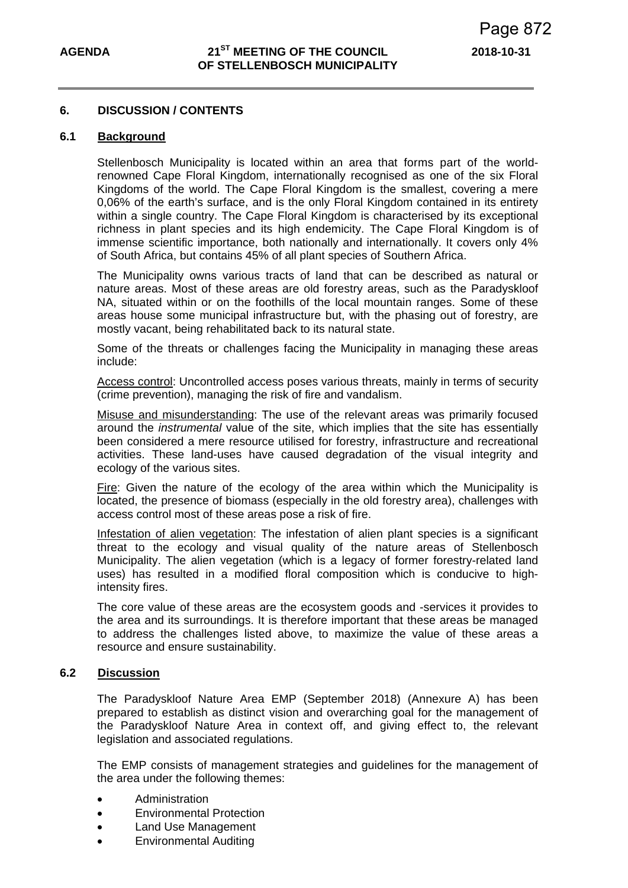#### **6. DISCUSSION / CONTENTS**

#### **6.1 Background**

Stellenbosch Municipality is located within an area that forms part of the worldrenowned Cape Floral Kingdom, internationally recognised as one of the six Floral Kingdoms of the world. The Cape Floral Kingdom is the smallest, covering a mere 0,06% of the earth's surface, and is the only Floral Kingdom contained in its entirety within a single country. The Cape Floral Kingdom is characterised by its exceptional richness in plant species and its high endemicity. The Cape Floral Kingdom is of immense scientific importance, both nationally and internationally. It covers only 4% of South Africa, but contains 45% of all plant species of Southern Africa.

The Municipality owns various tracts of land that can be described as natural or nature areas. Most of these areas are old forestry areas, such as the Paradyskloof NA, situated within or on the foothills of the local mountain ranges. Some of these areas house some municipal infrastructure but, with the phasing out of forestry, are mostly vacant, being rehabilitated back to its natural state.

Some of the threats or challenges facing the Municipality in managing these areas include:

Access control: Uncontrolled access poses various threats, mainly in terms of security (crime prevention), managing the risk of fire and vandalism.

Misuse and misunderstanding: The use of the relevant areas was primarily focused around the *instrumental* value of the site, which implies that the site has essentially been considered a mere resource utilised for forestry, infrastructure and recreational activities. These land-uses have caused degradation of the visual integrity and ecology of the various sites.

Fire: Given the nature of the ecology of the area within which the Municipality is located, the presence of biomass (especially in the old forestry area), challenges with access control most of these areas pose a risk of fire.

Infestation of alien vegetation: The infestation of alien plant species is a significant threat to the ecology and visual quality of the nature areas of Stellenbosch Municipality. The alien vegetation (which is a legacy of former forestry-related land uses) has resulted in a modified floral composition which is conducive to highintensity fires.

The core value of these areas are the ecosystem goods and -services it provides to the area and its surroundings. It is therefore important that these areas be managed to address the challenges listed above, to maximize the value of these areas a resource and ensure sustainability.

#### **6.2 Discussion**

The Paradyskloof Nature Area EMP (September 2018) (Annexure A) has been prepared to establish as distinct vision and overarching goal for the management of the Paradyskloof Nature Area in context off, and giving effect to, the relevant legislation and associated regulations.

The EMP consists of management strategies and guidelines for the management of the area under the following themes:

- Administration
- Environmental Protection
- Land Use Management
- Environmental Auditing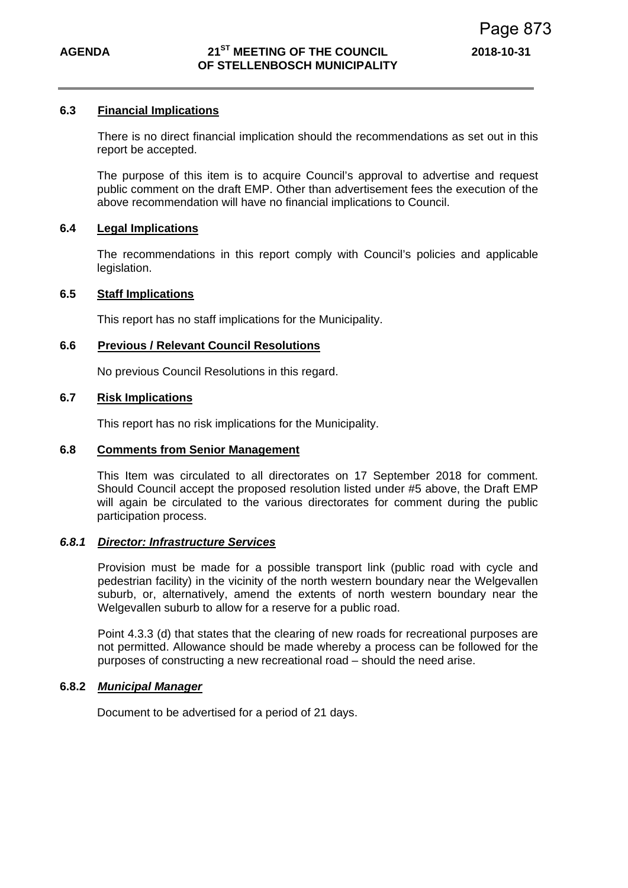#### **6.3 Financial Implications**

 There is no direct financial implication should the recommendations as set out in this report be accepted.

The purpose of this item is to acquire Council's approval to advertise and request public comment on the draft EMP. Other than advertisement fees the execution of the above recommendation will have no financial implications to Council.

#### **6.4 Legal Implications**

The recommendations in this report comply with Council's policies and applicable legislation.

# **6.5 Staff Implications**

This report has no staff implications for the Municipality.

#### **6.6 Previous / Relevant Council Resolutions**

No previous Council Resolutions in this regard.

# **6.7 Risk Implications**

This report has no risk implications for the Municipality.

#### **6.8 Comments from Senior Management**

This Item was circulated to all directorates on 17 September 2018 for comment. Should Council accept the proposed resolution listed under #5 above, the Draft EMP will again be circulated to the various directorates for comment during the public participation process.

#### *6.8.1 Director: Infrastructure Services*

Provision must be made for a possible transport link (public road with cycle and pedestrian facility) in the vicinity of the north western boundary near the Welgevallen suburb, or, alternatively, amend the extents of north western boundary near the Welgevallen suburb to allow for a reserve for a public road.

Point 4.3.3 (d) that states that the clearing of new roads for recreational purposes are not permitted. Allowance should be made whereby a process can be followed for the purposes of constructing a new recreational road – should the need arise.

# **6.8.2** *Municipal Manager*

Document to be advertised for a period of 21 days.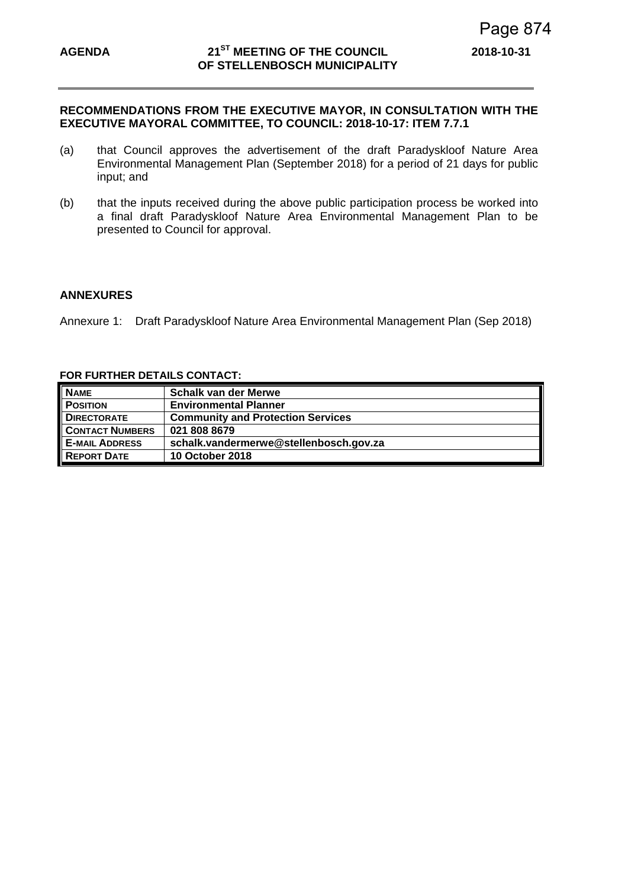## **RECOMMENDATIONS FROM THE EXECUTIVE MAYOR, IN CONSULTATION WITH THE EXECUTIVE MAYORAL COMMITTEE, TO COUNCIL: 2018-10-17: ITEM 7.7.1**

- (a) that Council approves the advertisement of the draft Paradyskloof Nature Area Environmental Management Plan (September 2018) for a period of 21 days for public input; and
- (b) that the inputs received during the above public participation process be worked into a final draft Paradyskloof Nature Area Environmental Management Plan to be presented to Council for approval.

# **ANNEXURES**

Annexure 1:Draft Paradyskloof Nature Area Environmental Management Plan (Sep 2018)

#### **FOR FURTHER DETAILS CONTACT:**

| <b>NAME</b>            | <b>Schalk van der Merwe</b>              |
|------------------------|------------------------------------------|
| <b>POSITION</b>        | <b>Environmental Planner</b>             |
| <b>DIRECTORATE</b>     | <b>Community and Protection Services</b> |
| <b>CONTACT NUMBERS</b> | 021 808 8679                             |
| <b>E-MAIL ADDRESS</b>  | schalk.vandermerwe@stellenbosch.gov.za   |
| <b>REPORT DATE</b>     | <b>10 October 2018</b>                   |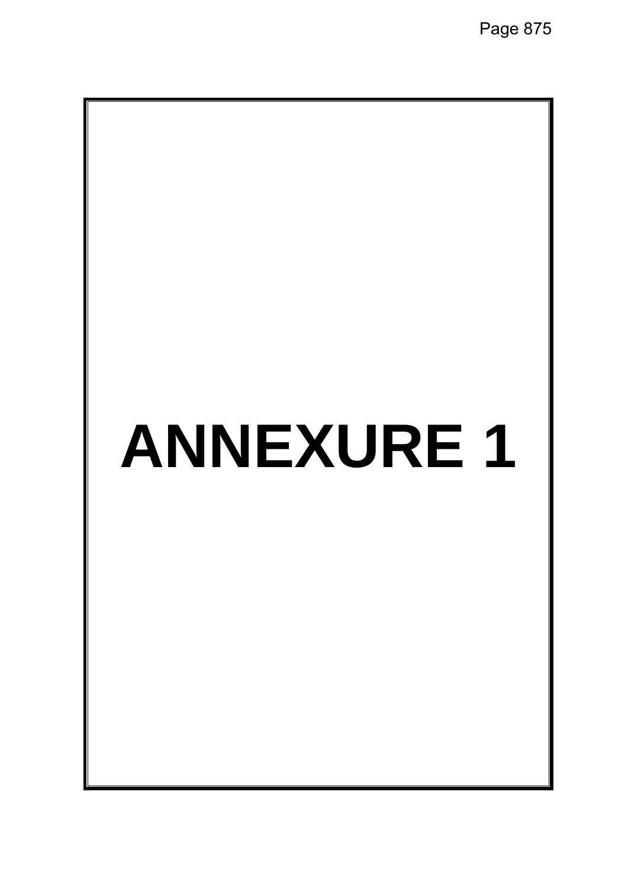# **ANNEXURE 1**